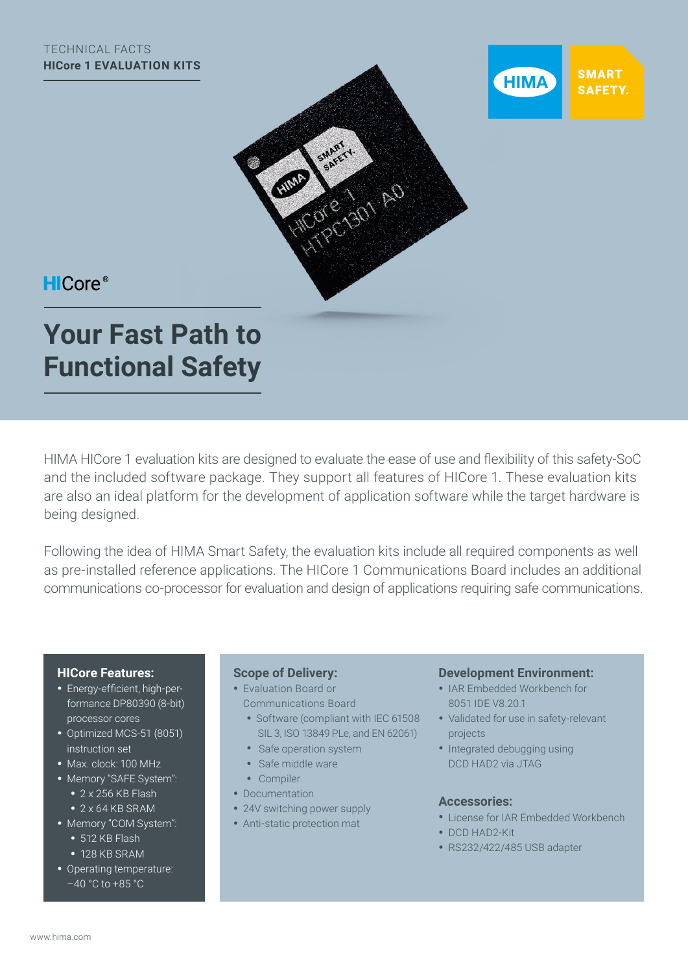



## **HICore®**

# **Your Fast Path to Functional Safety**

HIMA HICore 1 evaluation kits are designed to evaluate the ease of use and flexibility of this safety-SoC and the included software package. They support all features of HICore 1. These evaluation kits are also an ideal platform for the development of application software while the target hardware is being designed.

Following the idea of HIMA Smart Safety, the evaluation kits include all required components as well as pre-installed reference applications. The HICore 1 Communications Board includes an additional communications co-processor for evaluation and design of applications requiring safe communications.

#### **HICore Features:**

- Energy-efficient, high-performance DP80390 (8-bit) processor cores
- Optimized MCS-51 (8051) instruction set
- Max. clock: 100 MHz
- Memory "SAFE System":
	- 2 x 256 KB Flash
	- 2 x 64 KB SRAM
- Memory "COM System":
	- 512 KB Flash
	- 128 KB SRAM
- Operating temperature: –40 °C to +85 °C

#### **Scope of Delivery:**

- Evaluation Board or Communications Board
	- Software (compliant with IEC 61508 SIL 3, ISO 13849 PLe, and EN 62061)
	- Safe operation system
	- Safe middle ware
	- Compiler
- Documentation
- 24V switching power supply
- Anti-static protection mat

#### **Development Environment:**

- IAR Embedded Workbench for 8051 IDE V8.20.1
- Validated for use in safety-relevant projects
- Integrated debugging using DCD HAD2 via JTAG

#### **Accessories:**

- License for IAR Embedded Workbench
- DCD HAD2-Kit
- RS232/422/485 USB adapter